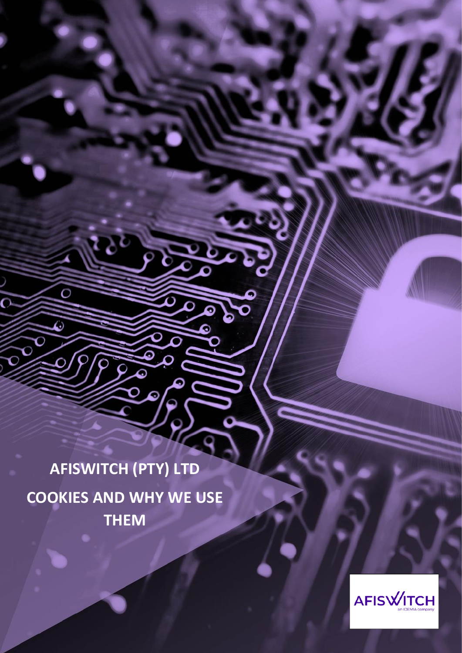**AFISWITCH (PTY) LTD COOKIES AND WHY WE USE THEM**

 $\overline{O}$ 

Э

í

Ь

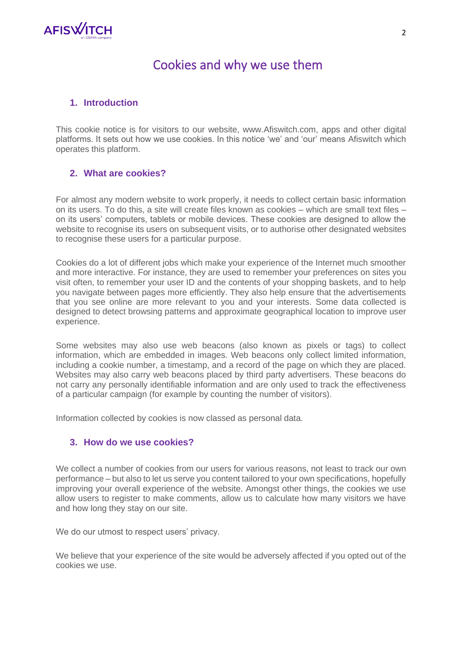

# Cookies and why we use them

### **1. Introduction**

This cookie notice is for visitors to our website, www.Afiswitch.com, apps and other digital platforms. It sets out how we use cookies. In this notice 'we' and 'our' means Afiswitch which operates this platform.

# **2. What are cookies?**

For almost any modern website to work properly, it needs to collect certain basic information on its users. To do this, a site will create files known as cookies – which are small text files – on its users' computers, tablets or mobile devices. These cookies are designed to allow the website to recognise its users on subsequent visits, or to authorise other designated websites to recognise these users for a particular purpose.

Cookies do a lot of different jobs which make your experience of the Internet much smoother and more interactive. For instance, they are used to remember your preferences on sites you visit often, to remember your user ID and the contents of your shopping baskets, and to help you navigate between pages more efficiently. They also help ensure that the advertisements that you see online are more relevant to you and your interests. Some data collected is designed to detect browsing patterns and approximate geographical location to improve user experience.

Some websites may also use web beacons (also known as pixels or tags) to collect information, which are embedded in images. Web beacons only collect limited information, including a cookie number, a timestamp, and a record of the page on which they are placed. Websites may also carry web beacons placed by third party advertisers. These beacons do not carry any personally identifiable information and are only used to track the effectiveness of a particular campaign (for example by counting the number of visitors).

Information collected by cookies is now classed as personal data.

#### **3. How do we use cookies?**

We collect a number of cookies from our users for various reasons, not least to track our own performance – but also to let us serve you content tailored to your own specifications, hopefully improving your overall experience of the website. Amongst other things, the cookies we use allow users to register to make comments, allow us to calculate how many visitors we have and how long they stay on our site.

We do our utmost to respect users' privacy.

We believe that your experience of the site would be adversely affected if you opted out of the cookies we use.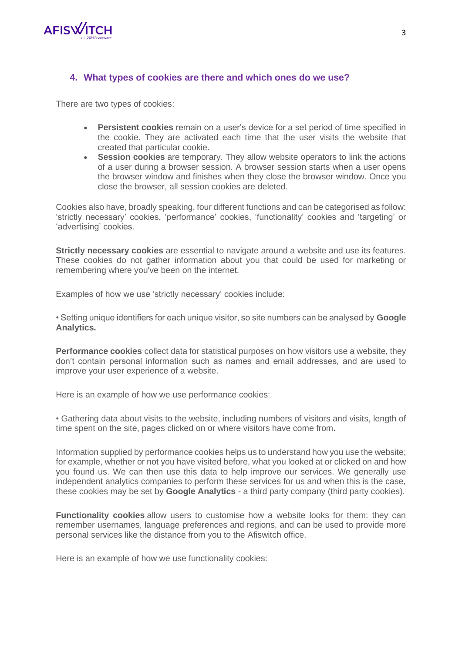

# **4. What types of cookies are there and which ones do we use?**

There are two types of cookies:

- **Persistent cookies** remain on a user's device for a set period of time specified in the cookie. They are activated each time that the user visits the website that created that particular cookie.
- **Session cookies** are temporary. They allow website operators to link the actions of a user during a browser session. A browser session starts when a user opens the browser window and finishes when they close the browser window. Once you close the browser, all session cookies are deleted.

Cookies also have, broadly speaking, four different functions and can be categorised as follow: 'strictly necessary' cookies, 'performance' cookies, 'functionality' cookies and 'targeting' or 'advertising' cookies.

**Strictly necessary cookies** are essential to navigate around a website and use its features. These cookies do not gather information about you that could be used for marketing or remembering where you've been on the internet.

Examples of how we use 'strictly necessary' cookies include:

• Setting unique identifiers for each unique visitor, so site numbers can be analysed by **Google Analytics.**

**Performance cookies** collect data for statistical purposes on how visitors use a website, they don't contain personal information such as names and email addresses, and are used to improve your user experience of a website.

Here is an example of how we use performance cookies:

• Gathering data about visits to the website, including numbers of visitors and visits, length of time spent on the site, pages clicked on or where visitors have come from.

Information supplied by performance cookies helps us to understand how you use the website; for example, whether or not you have visited before, what you looked at or clicked on and how you found us. We can then use this data to help improve our services. We generally use independent analytics companies to perform these services for us and when this is the case, these cookies may be set by **Google Analytics** - a third party company (third party cookies).

**Functionality cookies** allow users to customise how a website looks for them: they can remember usernames, language preferences and regions, and can be used to provide more personal services like the distance from you to the Afiswitch office.

Here is an example of how we use functionality cookies: